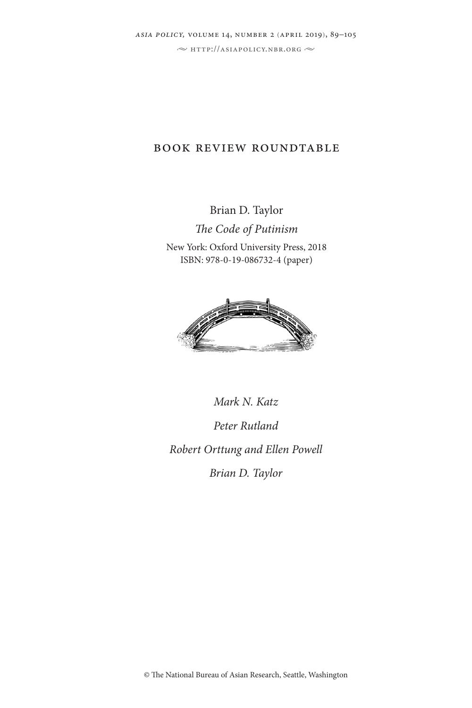$\sim$  http://asiapolicy.nbr.org  $\sim$ 

# book review roundtable

Brian D. Taylor

*The Code of Putinism* New York: Oxford University Press, 2018 ISBN: 978-0-19-086732-4 (paper)



*Mark N. Katz*

*Peter Rutland Robert Orttung and Ellen Powell Brian D. Taylor*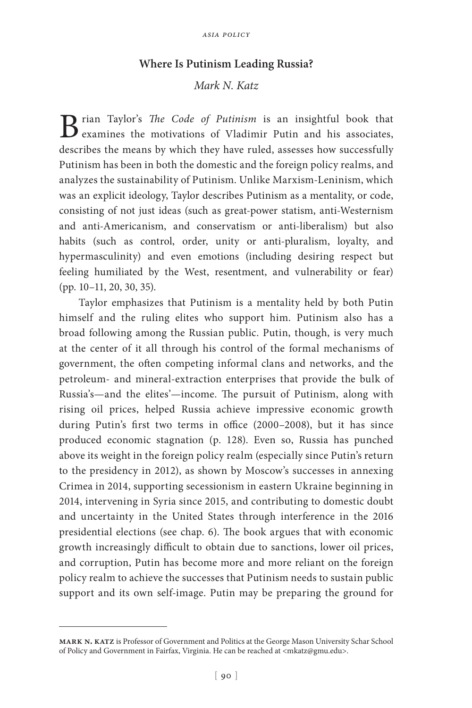### **Where Is Putinism Leading Russia?**

## *Mark N. Katz*

**D** rian Taylor's *The Code of Putinism* is an insightful book that  $\mathbf D$  examines the motivations of Vladimir Putin and his associates, describes the means by which they have ruled, assesses how successfully Putinism has been in both the domestic and the foreign policy realms, and analyzes the sustainability of Putinism. Unlike Marxism-Leninism, which was an explicit ideology, Taylor describes Putinism as a mentality, or code, consisting of not just ideas (such as great-power statism, anti-Westernism and anti-Americanism, and conservatism or anti-liberalism) but also habits (such as control, order, unity or anti-pluralism, loyalty, and hypermasculinity) and even emotions (including desiring respect but feeling humiliated by the West, resentment, and vulnerability or fear) (pp. 10–11, 20, 30, 35).

Taylor emphasizes that Putinism is a mentality held by both Putin himself and the ruling elites who support him. Putinism also has a broad following among the Russian public. Putin, though, is very much at the center of it all through his control of the formal mechanisms of government, the often competing informal clans and networks, and the petroleum- and mineral-extraction enterprises that provide the bulk of Russia's—and the elites'—income. The pursuit of Putinism, along with rising oil prices, helped Russia achieve impressive economic growth during Putin's first two terms in office (2000–2008), but it has since produced economic stagnation (p. 128). Even so, Russia has punched above its weight in the foreign policy realm (especially since Putin's return to the presidency in 2012), as shown by Moscow's successes in annexing Crimea in 2014, supporting secessionism in eastern Ukraine beginning in 2014, intervening in Syria since 2015, and contributing to domestic doubt and uncertainty in the United States through interference in the 2016 presidential elections (see chap. 6). The book argues that with economic growth increasingly difficult to obtain due to sanctions, lower oil prices, and corruption, Putin has become more and more reliant on the foreign policy realm to achieve the successes that Putinism needs to sustain public support and its own self-image. Putin may be preparing the ground for

**mark n. katz** is Professor of Government and Politics at the George Mason University Schar School of Policy and Government in Fairfax, Virginia. He can be reached at <mkatz@gmu.edu>.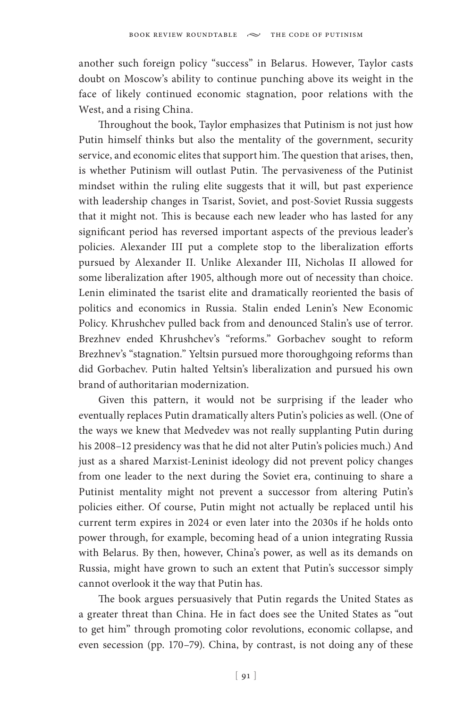another such foreign policy "success" in Belarus. However, Taylor casts doubt on Moscow's ability to continue punching above its weight in the face of likely continued economic stagnation, poor relations with the West, and a rising China.

Throughout the book, Taylor emphasizes that Putinism is not just how Putin himself thinks but also the mentality of the government, security service, and economic elites that support him. The question that arises, then, is whether Putinism will outlast Putin. The pervasiveness of the Putinist mindset within the ruling elite suggests that it will, but past experience with leadership changes in Tsarist, Soviet, and post-Soviet Russia suggests that it might not. This is because each new leader who has lasted for any significant period has reversed important aspects of the previous leader's policies. Alexander III put a complete stop to the liberalization efforts pursued by Alexander II. Unlike Alexander III, Nicholas II allowed for some liberalization after 1905, although more out of necessity than choice. Lenin eliminated the tsarist elite and dramatically reoriented the basis of politics and economics in Russia. Stalin ended Lenin's New Economic Policy. Khrushchev pulled back from and denounced Stalin's use of terror. Brezhnev ended Khrushchev's "reforms." Gorbachev sought to reform Brezhnev's "stagnation." Yeltsin pursued more thoroughgoing reforms than did Gorbachev. Putin halted Yeltsin's liberalization and pursued his own brand of authoritarian modernization.

Given this pattern, it would not be surprising if the leader who eventually replaces Putin dramatically alters Putin's policies as well. (One of the ways we knew that Medvedev was not really supplanting Putin during his 2008–12 presidency was that he did not alter Putin's policies much.) And just as a shared Marxist-Leninist ideology did not prevent policy changes from one leader to the next during the Soviet era, continuing to share a Putinist mentality might not prevent a successor from altering Putin's policies either. Of course, Putin might not actually be replaced until his current term expires in 2024 or even later into the 2030s if he holds onto power through, for example, becoming head of a union integrating Russia with Belarus. By then, however, China's power, as well as its demands on Russia, might have grown to such an extent that Putin's successor simply cannot overlook it the way that Putin has.

The book argues persuasively that Putin regards the United States as a greater threat than China. He in fact does see the United States as "out to get him" through promoting color revolutions, economic collapse, and even secession (pp. 170–79). China, by contrast, is not doing any of these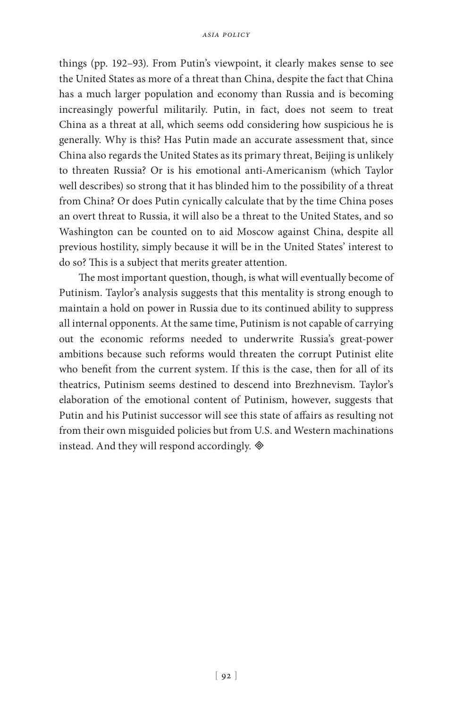things (pp. 192–93). From Putin's viewpoint, it clearly makes sense to see the United States as more of a threat than China, despite the fact that China has a much larger population and economy than Russia and is becoming increasingly powerful militarily. Putin, in fact, does not seem to treat China as a threat at all, which seems odd considering how suspicious he is generally. Why is this? Has Putin made an accurate assessment that, since China also regards the United States as its primary threat, Beijing is unlikely to threaten Russia? Or is his emotional anti-Americanism (which Taylor well describes) so strong that it has blinded him to the possibility of a threat from China? Or does Putin cynically calculate that by the time China poses an overt threat to Russia, it will also be a threat to the United States, and so Washington can be counted on to aid Moscow against China, despite all previous hostility, simply because it will be in the United States' interest to do so? This is a subject that merits greater attention.

The most important question, though, is what will eventually become of Putinism. Taylor's analysis suggests that this mentality is strong enough to maintain a hold on power in Russia due to its continued ability to suppress all internal opponents. At the same time, Putinism is not capable of carrying out the economic reforms needed to underwrite Russia's great-power ambitions because such reforms would threaten the corrupt Putinist elite who benefit from the current system. If this is the case, then for all of its theatrics, Putinism seems destined to descend into Brezhnevism. Taylor's elaboration of the emotional content of Putinism, however, suggests that Putin and his Putinist successor will see this state of affairs as resulting not from their own misguided policies but from U.S. and Western machinations instead. And they will respond accordingly.  $\otimes$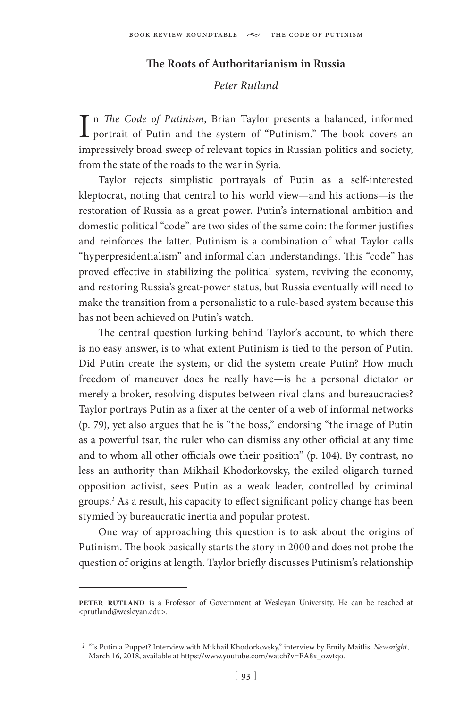## **The Roots of Authoritarianism in Russia**

# *Peter Rutland*

In *The Code of Putinism*, Brian Taylor presents a balanced, informed portrait of Putin and the system of "Putinism." The book covers an n *The Code of Putinism*, Brian Taylor presents a balanced, informed impressively broad sweep of relevant topics in Russian politics and society, from the state of the roads to the war in Syria.

Taylor rejects simplistic portrayals of Putin as a self-interested kleptocrat, noting that central to his world view—and his actions—is the restoration of Russia as a great power. Putin's international ambition and domestic political "code" are two sides of the same coin: the former justifies and reinforces the latter. Putinism is a combination of what Taylor calls "hyperpresidentialism" and informal clan understandings. This "code" has proved effective in stabilizing the political system, reviving the economy, and restoring Russia's great-power status, but Russia eventually will need to make the transition from a personalistic to a rule-based system because this has not been achieved on Putin's watch.

The central question lurking behind Taylor's account, to which there is no easy answer, is to what extent Putinism is tied to the person of Putin. Did Putin create the system, or did the system create Putin? How much freedom of maneuver does he really have—is he a personal dictator or merely a broker, resolving disputes between rival clans and bureaucracies? Taylor portrays Putin as a fixer at the center of a web of informal networks (p. 79), yet also argues that he is "the boss," endorsing "the image of Putin as a powerful tsar, the ruler who can dismiss any other official at any time and to whom all other officials owe their position" (p. 104). By contrast, no less an authority than Mikhail Khodorkovsky, the exiled oligarch turned opposition activist, sees Putin as a weak leader, controlled by criminal groups.*<sup>1</sup>* As a result, his capacity to effect significant policy change has been stymied by bureaucratic inertia and popular protest.

One way of approaching this question is to ask about the origins of Putinism. The book basically starts the story in 2000 and does not probe the question of origins at length. Taylor briefly discusses Putinism's relationship

**peter rutland** is a Professor of Government at Wesleyan University. He can be reached at <prutland@wesleyan.edu>.

*<sup>1</sup>* "Is Putin a Puppet? Interview with Mikhail Khodorkovsky," interview by Emily Maitlis, *Newsnight*, March 16, 2018, available at https://www.youtube.com/watch?v=EA8x\_ozvtqo.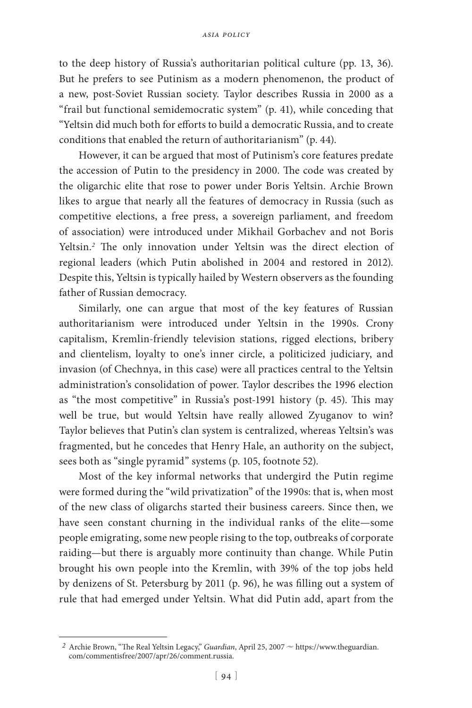to the deep history of Russia's authoritarian political culture (pp. 13, 36). But he prefers to see Putinism as a modern phenomenon, the product of a new, post-Soviet Russian society. Taylor describes Russia in 2000 as a "frail but functional semidemocratic system" (p. 41), while conceding that "Yeltsin did much both for efforts to build a democratic Russia, and to create conditions that enabled the return of authoritarianism" (p. 44).

However, it can be argued that most of Putinism's core features predate the accession of Putin to the presidency in 2000. The code was created by the oligarchic elite that rose to power under Boris Yeltsin. Archie Brown likes to argue that nearly all the features of democracy in Russia (such as competitive elections, a free press, a sovereign parliament, and freedom of association) were introduced under Mikhail Gorbachev and not Boris Yeltsin.*<sup>2</sup>* The only innovation under Yeltsin was the direct election of regional leaders (which Putin abolished in 2004 and restored in 2012). Despite this, Yeltsin is typically hailed by Western observers as the founding father of Russian democracy.

Similarly, one can argue that most of the key features of Russian authoritarianism were introduced under Yeltsin in the 1990s. Crony capitalism, Kremlin-friendly television stations, rigged elections, bribery and clientelism, loyalty to one's inner circle, a politicized judiciary, and invasion (of Chechnya, in this case) were all practices central to the Yeltsin administration's consolidation of power. Taylor describes the 1996 election as "the most competitive" in Russia's post-1991 history (p. 45). This may well be true, but would Yeltsin have really allowed Zyuganov to win? Taylor believes that Putin's clan system is centralized, whereas Yeltsin's was fragmented, but he concedes that Henry Hale, an authority on the subject, sees both as "single pyramid" systems (p. 105, footnote 52).

Most of the key informal networks that undergird the Putin regime were formed during the "wild privatization" of the 1990s: that is, when most of the new class of oligarchs started their business careers. Since then, we have seen constant churning in the individual ranks of the elite—some people emigrating, some new people rising to the top, outbreaks of corporate raiding—but there is arguably more continuity than change. While Putin brought his own people into the Kremlin, with 39% of the top jobs held by denizens of St. Petersburg by 2011 (p. 96), he was filling out a system of rule that had emerged under Yeltsin. What did Putin add, apart from the

<sup>&</sup>lt;sup>2</sup> Archie Brown, "The Real Yeltsin Legacy," *Guardian*, April 25, 2007  $\sim$  https://www.theguardian. com/commentisfree/2007/apr/26/comment.russia.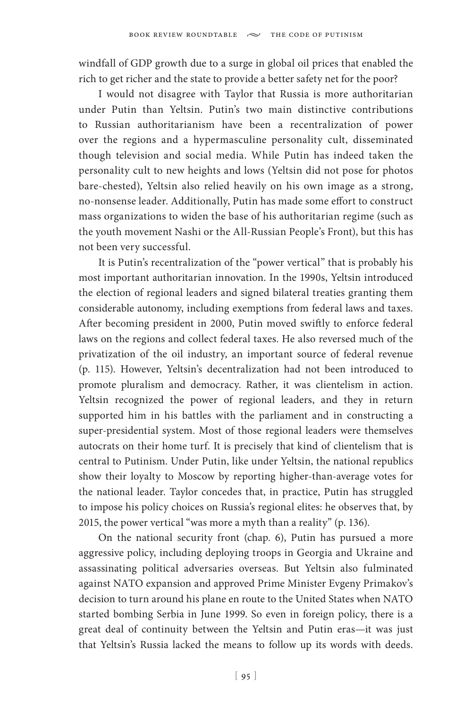windfall of GDP growth due to a surge in global oil prices that enabled the rich to get richer and the state to provide a better safety net for the poor?

I would not disagree with Taylor that Russia is more authoritarian under Putin than Yeltsin. Putin's two main distinctive contributions to Russian authoritarianism have been a recentralization of power over the regions and a hypermasculine personality cult, disseminated though television and social media. While Putin has indeed taken the personality cult to new heights and lows (Yeltsin did not pose for photos bare-chested), Yeltsin also relied heavily on his own image as a strong, no-nonsense leader. Additionally, Putin has made some effort to construct mass organizations to widen the base of his authoritarian regime (such as the youth movement Nashi or the All-Russian People's Front), but this has not been very successful.

It is Putin's recentralization of the "power vertical" that is probably his most important authoritarian innovation. In the 1990s, Yeltsin introduced the election of regional leaders and signed bilateral treaties granting them considerable autonomy, including exemptions from federal laws and taxes. After becoming president in 2000, Putin moved swiftly to enforce federal laws on the regions and collect federal taxes. He also reversed much of the privatization of the oil industry, an important source of federal revenue (p. 115). However, Yeltsin's decentralization had not been introduced to promote pluralism and democracy. Rather, it was clientelism in action. Yeltsin recognized the power of regional leaders, and they in return supported him in his battles with the parliament and in constructing a super-presidential system. Most of those regional leaders were themselves autocrats on their home turf. It is precisely that kind of clientelism that is central to Putinism. Under Putin, like under Yeltsin, the national republics show their loyalty to Moscow by reporting higher-than-average votes for the national leader. Taylor concedes that, in practice, Putin has struggled to impose his policy choices on Russia's regional elites: he observes that, by 2015, the power vertical "was more a myth than a reality" (p. 136).

On the national security front (chap. 6), Putin has pursued a more aggressive policy, including deploying troops in Georgia and Ukraine and assassinating political adversaries overseas. But Yeltsin also fulminated against NATO expansion and approved Prime Minister Evgeny Primakov's decision to turn around his plane en route to the United States when NATO started bombing Serbia in June 1999. So even in foreign policy, there is a great deal of continuity between the Yeltsin and Putin eras—it was just that Yeltsin's Russia lacked the means to follow up its words with deeds.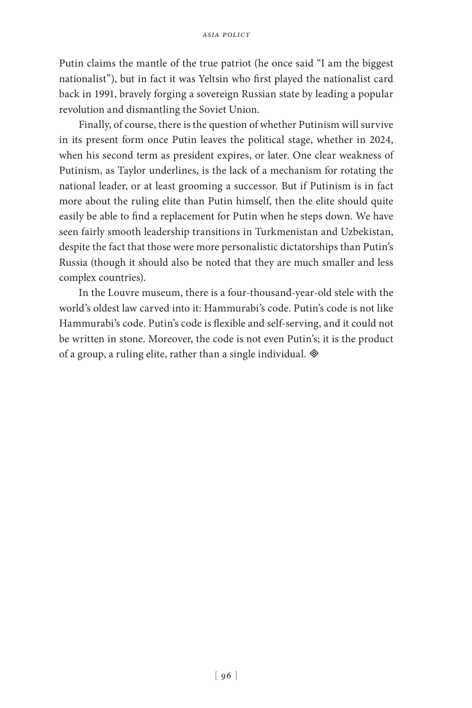Putin claims the mantle of the true patriot (he once said "I am the biggest nationalist"), but in fact it was Yeltsin who first played the nationalist card back in 1991, bravely forging a sovereign Russian state by leading a popular revolution and dismantling the Soviet Union.

Finally, of course, there is the question of whether Putinism will survive in its present form once Putin leaves the political stage, whether in 2024, when his second term as president expires, or later. One clear weakness of Putinism, as Taylor underlines, is the lack of a mechanism for rotating the national leader, or at least grooming a successor. But if Putinism is in fact more about the ruling elite than Putin himself, then the elite should quite easily be able to find a replacement for Putin when he steps down. We have seen fairly smooth leadership transitions in Turkmenistan and Uzbekistan, despite the fact that those were more personalistic dictatorships than Putin's Russia (though it should also be noted that they are much smaller and less complex countries).

In the Louvre museum, there is a four-thousand-year-old stele with the world's oldest law carved into it: Hammurabi's code. Putin's code is not like Hammurabi's code. Putin's code is flexible and self-serving, and it could not be written in stone. Moreover, the code is not even Putin's; it is the product of a group, a ruling elite, rather than a single individual.  $\otimes$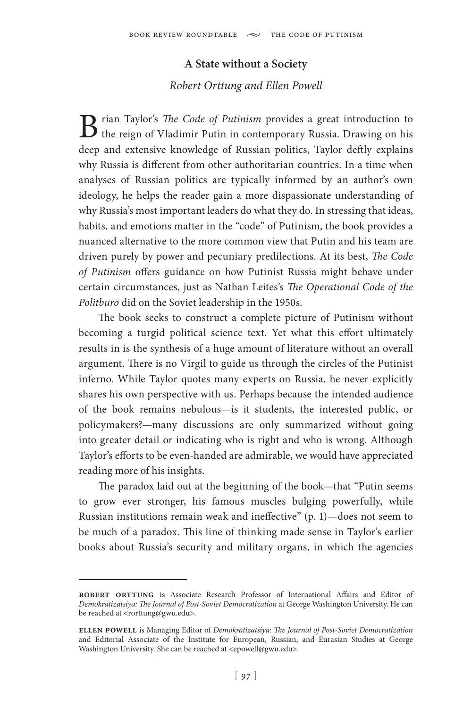## **A State without a Society**

### *Robert Orttung and Ellen Powell*

**B** rian Taylor's *The Code of Putinism* provides a great introduction to the reign of Vladimir Putin in contemporary Russia. Drawing on his deep and extensive knowledge of Russian politics, Taylor deftly explains why Russia is different from other authoritarian countries. In a time when analyses of Russian politics are typically informed by an author's own ideology, he helps the reader gain a more dispassionate understanding of why Russia's most important leaders do what they do. In stressing that ideas, habits, and emotions matter in the "code" of Putinism, the book provides a nuanced alternative to the more common view that Putin and his team are driven purely by power and pecuniary predilections. At its best, *The Code of Putinism* offers guidance on how Putinist Russia might behave under certain circumstances, just as Nathan Leites's *The Operational Code of the Politburo* did on the Soviet leadership in the 1950s.

The book seeks to construct a complete picture of Putinism without becoming a turgid political science text. Yet what this effort ultimately results in is the synthesis of a huge amount of literature without an overall argument. There is no Virgil to guide us through the circles of the Putinist inferno. While Taylor quotes many experts on Russia, he never explicitly shares his own perspective with us. Perhaps because the intended audience of the book remains nebulous—is it students, the interested public, or policymakers?—many discussions are only summarized without going into greater detail or indicating who is right and who is wrong. Although Taylor's efforts to be even-handed are admirable, we would have appreciated reading more of his insights.

The paradox laid out at the beginning of the book—that "Putin seems to grow ever stronger, his famous muscles bulging powerfully, while Russian institutions remain weak and ineffective" (p. 1)—does not seem to be much of a paradox. This line of thinking made sense in Taylor's earlier books about Russia's security and military organs, in which the agencies

**robert orttung** is Associate Research Professor of International Affairs and Editor of *Demokratizatsiya: The Journal of Post-Soviet Democratization* at George Washington University. He can be reached at [<rorttung@gwu.edu>](mailto:rorttung@gwu.edu).

**ellen powell** is Managing Editor of *Demokratizatsiya: The Journal of Post-Soviet Democratization* and Editorial Associate of the Institute for European, Russian, and Eurasian Studies at George Washington University. She can be reached at <epowell@gwu.edu>.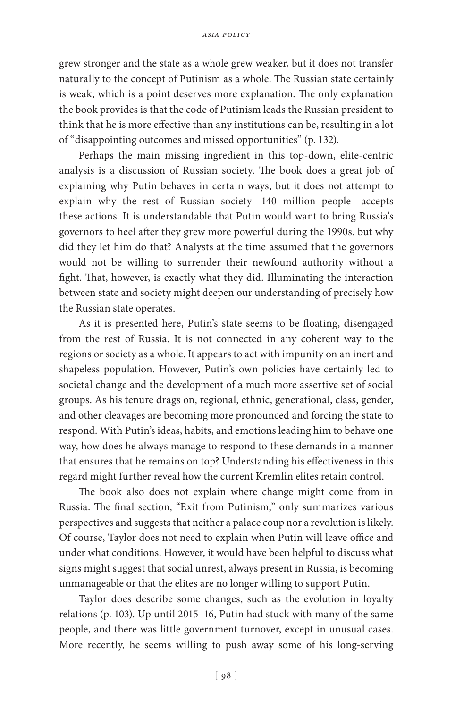grew stronger and the state as a whole grew weaker, but it does not transfer naturally to the concept of Putinism as a whole. The Russian state certainly is weak, which is a point deserves more explanation. The only explanation the book provides is that the code of Putinism leads the Russian president to think that he is more effective than any institutions can be, resulting in a lot of "disappointing outcomes and missed opportunities" (p. 132).

Perhaps the main missing ingredient in this top-down, elite-centric analysis is a discussion of Russian society. The book does a great job of explaining why Putin behaves in certain ways, but it does not attempt to explain why the rest of Russian society—140 million people—accepts these actions. It is understandable that Putin would want to bring Russia's governors to heel after they grew more powerful during the 1990s, but why did they let him do that? Analysts at the time assumed that the governors would not be willing to surrender their newfound authority without a fight. That, however, is exactly what they did. Illuminating the interaction between state and society might deepen our understanding of precisely how the Russian state operates.

As it is presented here, Putin's state seems to be floating, disengaged from the rest of Russia. It is not connected in any coherent way to the regions or society as a whole. It appears to act with impunity on an inert and shapeless population. However, Putin's own policies have certainly led to societal change and the development of a much more assertive set of social groups. As his tenure drags on, regional, ethnic, generational, class, gender, and other cleavages are becoming more pronounced and forcing the state to respond. With Putin's ideas, habits, and emotions leading him to behave one way, how does he always manage to respond to these demands in a manner that ensures that he remains on top? Understanding his effectiveness in this regard might further reveal how the current Kremlin elites retain control.

The book also does not explain where change might come from in Russia. The final section, "Exit from Putinism," only summarizes various perspectives and suggests that neither a palace coup nor a revolution is likely. Of course, Taylor does not need to explain when Putin will leave office and under what conditions. However, it would have been helpful to discuss what signs might suggest that social unrest, always present in Russia, is becoming unmanageable or that the elites are no longer willing to support Putin.

Taylor does describe some changes, such as the evolution in loyalty relations (p. 103). Up until 2015–16, Putin had stuck with many of the same people, and there was little government turnover, except in unusual cases. More recently, he seems willing to push away some of his long-serving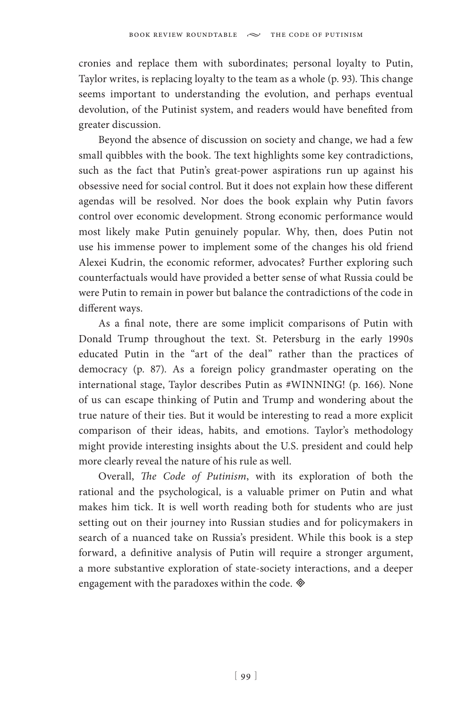cronies and replace them with subordinates; personal loyalty to Putin, Taylor writes, is replacing loyalty to the team as a whole (p. 93). This change seems important to understanding the evolution, and perhaps eventual devolution, of the Putinist system, and readers would have benefited from greater discussion.

Beyond the absence of discussion on society and change, we had a few small quibbles with the book. The text highlights some key contradictions, such as the fact that Putin's great-power aspirations run up against his obsessive need for social control. But it does not explain how these different agendas will be resolved. Nor does the book explain why Putin favors control over economic development. Strong economic performance would most likely make Putin genuinely popular. Why, then, does Putin not use his immense power to implement some of the changes his old friend Alexei Kudrin, the economic reformer, advocates? Further exploring such counterfactuals would have provided a better sense of what Russia could be were Putin to remain in power but balance the contradictions of the code in different ways.

As a final note, there are some implicit comparisons of Putin with Donald Trump throughout the text. St. Petersburg in the early 1990s educated Putin in the "art of the deal" rather than the practices of democracy (p. 87). As a foreign policy grandmaster operating on the international stage, Taylor describes Putin as #WINNING! (p. 166). None of us can escape thinking of Putin and Trump and wondering about the true nature of their ties. But it would be interesting to read a more explicit comparison of their ideas, habits, and emotions. Taylor's methodology might provide interesting insights about the U.S. president and could help more clearly reveal the nature of his rule as well.

Overall, *The Code of Putinism*, with its exploration of both the rational and the psychological, is a valuable primer on Putin and what makes him tick. It is well worth reading both for students who are just setting out on their journey into Russian studies and for policymakers in search of a nuanced take on Russia's president. While this book is a step forward, a definitive analysis of Putin will require a stronger argument, a more substantive exploration of state-society interactions, and a deeper engagement with the paradoxes within the code.  $\otimes$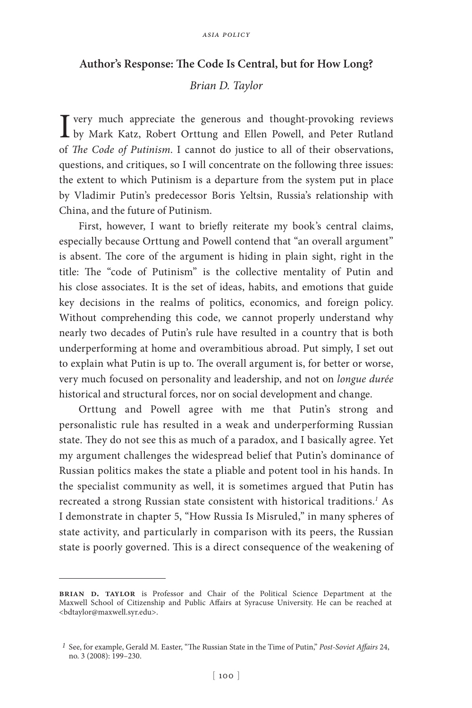### **Author's Response: The Code Is Central, but for How Long?**

## *Brian D. Taylor*

 $\mathbf T$  very much appreciate the generous and thought-provoking reviews by Mark Katz, Robert Orttung and Ellen Powell, and Peter Rutland of *The Code of Putinism*. I cannot do justice to all of their observations, questions, and critiques, so I will concentrate on the following three issues: the extent to which Putinism is a departure from the system put in place by Vladimir Putin's predecessor Boris Yeltsin, Russia's relationship with China, and the future of Putinism.

First, however, I want to briefly reiterate my book's central claims, especially because Orttung and Powell contend that "an overall argument" is absent. The core of the argument is hiding in plain sight, right in the title: The "code of Putinism" is the collective mentality of Putin and his close associates. It is the set of ideas, habits, and emotions that guide key decisions in the realms of politics, economics, and foreign policy. Without comprehending this code, we cannot properly understand why nearly two decades of Putin's rule have resulted in a country that is both underperforming at home and overambitious abroad. Put simply, I set out to explain what Putin is up to. The overall argument is, for better or worse, very much focused on personality and leadership, and not on *longue durée* historical and structural forces, nor on social development and change.

Orttung and Powell agree with me that Putin's strong and personalistic rule has resulted in a weak and underperforming Russian state. They do not see this as much of a paradox, and I basically agree. Yet my argument challenges the widespread belief that Putin's dominance of Russian politics makes the state a pliable and potent tool in his hands. In the specialist community as well, it is sometimes argued that Putin has recreated a strong Russian state consistent with historical traditions.*<sup>1</sup>* As I demonstrate in chapter 5, "How Russia Is Misruled," in many spheres of state activity, and particularly in comparison with its peers, the Russian state is poorly governed. This is a direct consequence of the weakening of

**brian d. taylor** is Professor and Chair of the Political Science Department at the Maxwell School of Citizenship and Public Affairs at Syracuse University. He can be reached at <bdtaylor@maxwell.syr.edu>.

*<sup>1</sup>* See, for example, Gerald M. Easter, "The Russian State in the Time of Putin," *Post-Soviet Affairs* 24, no. 3 (2008): 199–230.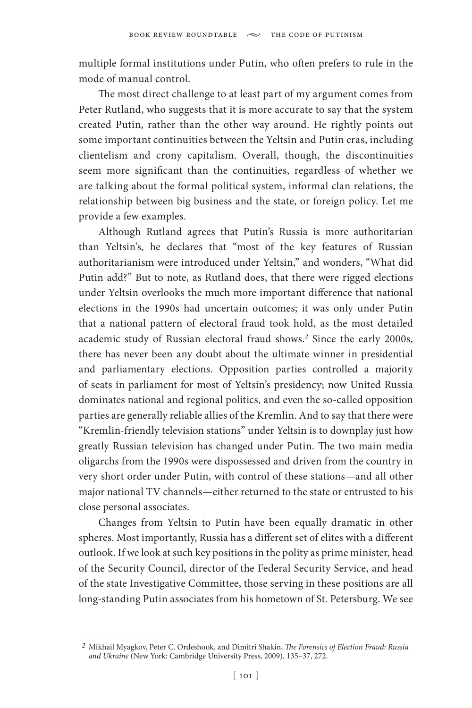multiple formal institutions under Putin, who often prefers to rule in the mode of manual control.

The most direct challenge to at least part of my argument comes from Peter Rutland, who suggests that it is more accurate to say that the system created Putin, rather than the other way around. He rightly points out some important continuities between the Yeltsin and Putin eras, including clientelism and crony capitalism. Overall, though, the discontinuities seem more significant than the continuities, regardless of whether we are talking about the formal political system, informal clan relations, the relationship between big business and the state, or foreign policy. Let me provide a few examples.

Although Rutland agrees that Putin's Russia is more authoritarian than Yeltsin's, he declares that "most of the key features of Russian authoritarianism were introduced under Yeltsin," and wonders, "What did Putin add?" But to note, as Rutland does, that there were rigged elections under Yeltsin overlooks the much more important difference that national elections in the 1990s had uncertain outcomes; it was only under Putin that a national pattern of electoral fraud took hold, as the most detailed academic study of Russian electoral fraud shows.*<sup>2</sup>* Since the early 2000s, there has never been any doubt about the ultimate winner in presidential and parliamentary elections. Opposition parties controlled a majority of seats in parliament for most of Yeltsin's presidency; now United Russia dominates national and regional politics, and even the so-called opposition parties are generally reliable allies of the Kremlin. And to say that there were "Kremlin-friendly television stations" under Yeltsin is to downplay just how greatly Russian television has changed under Putin. The two main media oligarchs from the 1990s were dispossessed and driven from the country in very short order under Putin, with control of these stations—and all other major national TV channels—either returned to the state or entrusted to his close personal associates.

Changes from Yeltsin to Putin have been equally dramatic in other spheres. Most importantly, Russia has a different set of elites with a different outlook. If we look at such key positions in the polity as prime minister, head of the Security Council, director of the Federal Security Service, and head of the state Investigative Committee, those serving in these positions are all long-standing Putin associates from his hometown of St. Petersburg. We see

*<sup>2</sup>* Mikhail Myagkov, Peter C. Ordeshook, and Dimitri Shakin, *The Forensics of Election Fraud: Russia and Ukraine* (New York: Cambridge University Press, 2009), 135–37, 272.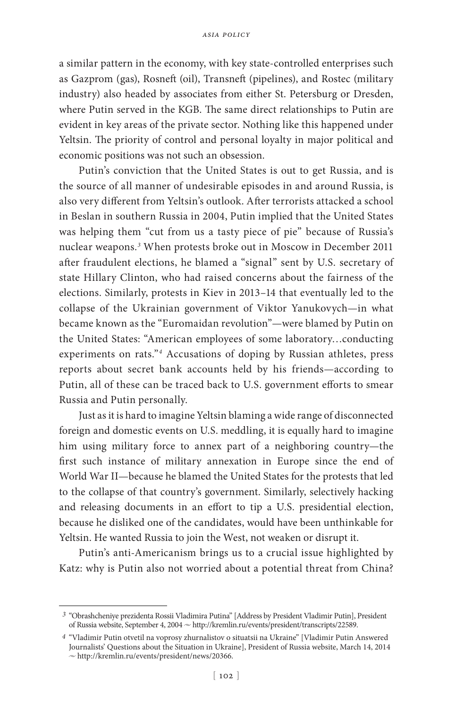a similar pattern in the economy, with key state-controlled enterprises such as Gazprom (gas), Rosneft (oil), Transneft (pipelines), and Rostec (military industry) also headed by associates from either St. Petersburg or Dresden, where Putin served in the KGB. The same direct relationships to Putin are evident in key areas of the private sector. Nothing like this happened under Yeltsin. The priority of control and personal loyalty in major political and economic positions was not such an obsession.

Putin's conviction that the United States is out to get Russia, and is the source of all manner of undesirable episodes in and around Russia, is also very different from Yeltsin's outlook. After terrorists attacked a school in Beslan in southern Russia in 2004, Putin implied that the United States was helping them "cut from us a tasty piece of pie" because of Russia's nuclear weapons.*<sup>3</sup>* When protests broke out in Moscow in December 2011 after fraudulent elections, he blamed a "signal" sent by U.S. secretary of state Hillary Clinton, who had raised concerns about the fairness of the elections. Similarly, protests in Kiev in 2013–14 that eventually led to the collapse of the Ukrainian government of Viktor Yanukovych—in what became known as the "Euromaidan revolution"—were blamed by Putin on the United States: "American employees of some laboratory…conducting experiments on rats."*<sup>4</sup>* Accusations of doping by Russian athletes, press reports about secret bank accounts held by his friends—according to Putin, all of these can be traced back to U.S. government efforts to smear Russia and Putin personally.

Just as it is hard to imagine Yeltsin blaming a wide range of disconnected foreign and domestic events on U.S. meddling, it is equally hard to imagine him using military force to annex part of a neighboring country—the first such instance of military annexation in Europe since the end of World War II—because he blamed the United States for the protests that led to the collapse of that country's government. Similarly, selectively hacking and releasing documents in an effort to tip a U.S. presidential election, because he disliked one of the candidates, would have been unthinkable for Yeltsin. He wanted Russia to join the West, not weaken or disrupt it.

Putin's anti-Americanism brings us to a crucial issue highlighted by Katz: why is Putin also not worried about a potential threat from China?

*<sup>3</sup>* "Obrashcheniye prezidenta Rossii Vladimira Putina" [Address by President Vladimir Putin], President of Russia website, September 4, 2004  $\sim$  http://kremlin.ru/events/president/transcripts/22589.

*<sup>4</sup>* "Vladimir Putin otvetil na voprosy zhurnalistov o situatsii na Ukraine" [Vladimir Putin Answered Journalists' Questions about the Situation in Ukraine], President of Russia website, March 14, 2014  $\sim$  http://kremlin.ru/events/president/news/20366.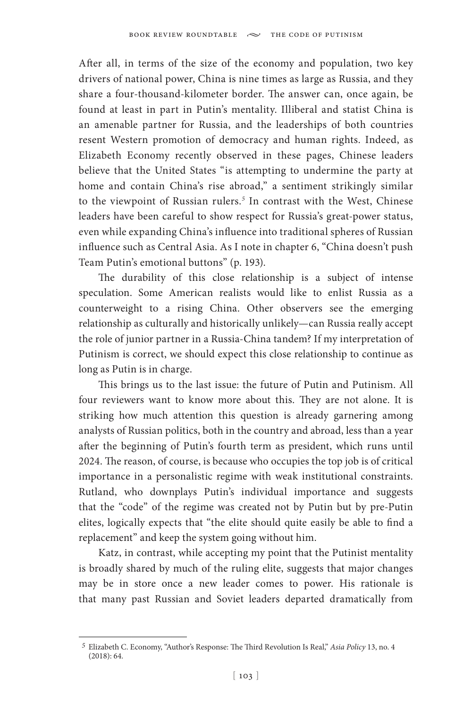After all, in terms of the size of the economy and population, two key drivers of national power, China is nine times as large as Russia, and they share a four-thousand-kilometer border. The answer can, once again, be found at least in part in Putin's mentality. Illiberal and statist China is an amenable partner for Russia, and the leaderships of both countries resent Western promotion of democracy and human rights. Indeed, as Elizabeth Economy recently observed in these pages, Chinese leaders believe that the United States "is attempting to undermine the party at home and contain China's rise abroad," a sentiment strikingly similar to the viewpoint of Russian rulers.*<sup>5</sup>* In contrast with the West, Chinese leaders have been careful to show respect for Russia's great-power status, even while expanding China's influence into traditional spheres of Russian influence such as Central Asia. As I note in chapter 6, "China doesn't push Team Putin's emotional buttons" (p. 193).

The durability of this close relationship is a subject of intense speculation. Some American realists would like to enlist Russia as a counterweight to a rising China. Other observers see the emerging relationship as culturally and historically unlikely—can Russia really accept the role of junior partner in a Russia-China tandem? If my interpretation of Putinism is correct, we should expect this close relationship to continue as long as Putin is in charge.

This brings us to the last issue: the future of Putin and Putinism. All four reviewers want to know more about this. They are not alone. It is striking how much attention this question is already garnering among analysts of Russian politics, both in the country and abroad, less than a year after the beginning of Putin's fourth term as president, which runs until 2024. The reason, of course, is because who occupies the top job is of critical importance in a personalistic regime with weak institutional constraints. Rutland, who downplays Putin's individual importance and suggests that the "code" of the regime was created not by Putin but by pre-Putin elites, logically expects that "the elite should quite easily be able to find a replacement" and keep the system going without him.

Katz, in contrast, while accepting my point that the Putinist mentality is broadly shared by much of the ruling elite, suggests that major changes may be in store once a new leader comes to power. His rationale is that many past Russian and Soviet leaders departed dramatically from

*<sup>5</sup>* Elizabeth C. Economy, "Author's Response: The Third Revolution Is Real," *Asia Policy* 13, no. 4 (2018): 64.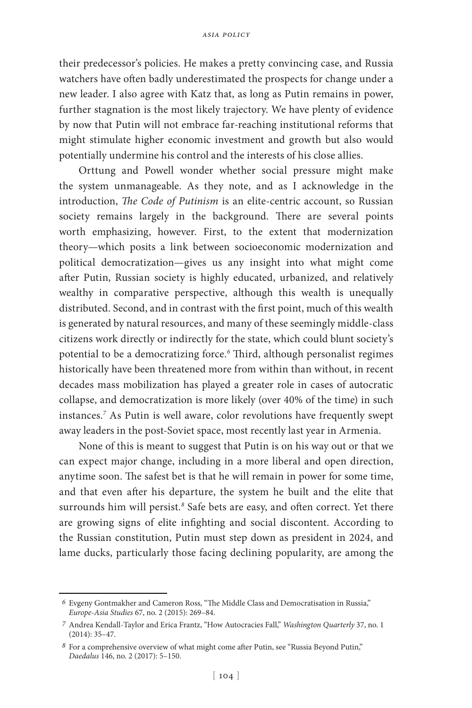their predecessor's policies. He makes a pretty convincing case, and Russia watchers have often badly underestimated the prospects for change under a new leader. I also agree with Katz that, as long as Putin remains in power, further stagnation is the most likely trajectory. We have plenty of evidence by now that Putin will not embrace far-reaching institutional reforms that might stimulate higher economic investment and growth but also would potentially undermine his control and the interests of his close allies.

Orttung and Powell wonder whether social pressure might make the system unmanageable. As they note, and as I acknowledge in the introduction, *The Code of Putinism* is an elite-centric account, so Russian society remains largely in the background. There are several points worth emphasizing, however. First, to the extent that modernization theory—which posits a link between socioeconomic modernization and political democratization—gives us any insight into what might come after Putin, Russian society is highly educated, urbanized, and relatively wealthy in comparative perspective, although this wealth is unequally distributed. Second, and in contrast with the first point, much of this wealth is generated by natural resources, and many of these seemingly middle-class citizens work directly or indirectly for the state, which could blunt society's potential to be a democratizing force.*<sup>6</sup>* Third, although personalist regimes historically have been threatened more from within than without, in recent decades mass mobilization has played a greater role in cases of autocratic collapse, and democratization is more likely (over 40% of the time) in such instances.*<sup>7</sup>* As Putin is well aware, color revolutions have frequently swept away leaders in the post-Soviet space, most recently last year in Armenia.

None of this is meant to suggest that Putin is on his way out or that we can expect major change, including in a more liberal and open direction, anytime soon. The safest bet is that he will remain in power for some time, and that even after his departure, the system he built and the elite that surrounds him will persist.<sup>8</sup> Safe bets are easy, and often correct. Yet there are growing signs of elite infighting and social discontent. According to the Russian constitution, Putin must step down as president in 2024, and lame ducks, particularly those facing declining popularity, are among the

*<sup>6</sup>* Evgeny Gontmakher and Cameron Ross, "The Middle Class and Democratisation in Russia," *Europe-Asia Studies* 67, no. 2 (2015): 269–84.

*<sup>7</sup>* Andrea Kendall-Taylor and Erica Frantz, "How Autocracies Fall," *Washington Quarterly* 37, no. 1 (2014): 35–47.

*<sup>8</sup>* For a comprehensive overview of what might come after Putin, see "Russia Beyond Putin," *Daedalus* 146, no. 2 (2017): 5–150.